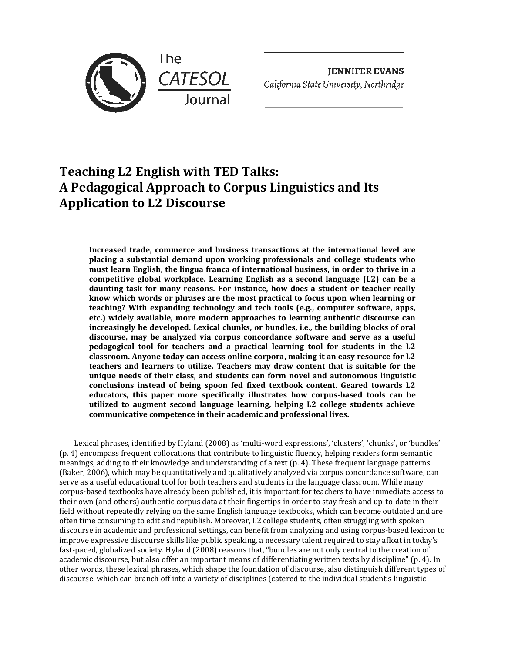

**JENNIFER EVANS**  *California State University, Northridge* 

# **Teaching L2 English with TED Talks: A Pedagogical Approach to Corpus Linguistics and Its Application to L2 Discourse**

**Increased trade, commerce and business transactions at the international level are placing a substantial demand upon working professionals and college students who must learn English, the lingua franca of international business, in order to thrive in a competitive global workplace. Learning English as a second language (L2) can be a daunting task for many reasons. For instance, how does a student or teacher really know which words or phrases are the most practical to focus upon when learning or teaching? With expanding technology and tech tools (e.g., computer software, apps, etc.) widely available, more modern approaches to learning authentic discourse can increasingly be developed. Lexical chunks, or bundles, i.e., the building blocks of oral discourse, may be analyzed via corpus concordance software and serve as a useful pedagogical tool for teachers and a practical learning tool for students in the L2 classroom. Anyone today can access online corpora, making it an easy resource for L2 teachers and learners to utilize. Teachers may draw content that is suitable for the unique needs of their class, and students can form novel and autonomous linguistic conclusions instead of being spoon fed fixed textbook content. Geared towards L2 educators, this paper more specifically illustrates how corpus-based tools can be utilized to augment second language learning, helping L2 college students achieve communicative competence in their academic and professional lives.**

Lexical phrases, identified by Hyland (2008) as 'multi-word expressions', 'clusters', 'chunks', or 'bundles' (p. 4) encompass frequent collocations that contribute to linguistic fluency, helping readers form semantic meanings, adding to their knowledge and understanding of a text (p. 4). These frequent language patterns (Baker, 2006), which may be quantitatively and qualitatively analyzed via corpus concordance software, can serve as a useful educational tool for both teachers and students in the language classroom. While many corpus-based textbooks have already been published, it is important for teachers to have immediate access to their own (and others) authentic corpus data at their fingertips in order to stay fresh and up-to-date in their field without repeatedly relying on the same English language textbooks, which can become outdated and are often time consuming to edit and republish. Moreover, L2 college students, often struggling with spoken discourse in academic and professional settings, can benefit from analyzing and using corpus-based lexicon to improve expressive discourse skills like public speaking, a necessary talent required to stay afloat in today's fast-paced, globalized society. Hyland (2008) reasons that, "bundles are not only central to the creation of academic discourse, but also offer an important means of differentiating written texts by discipline" (p. 4). In other words, these lexical phrases, which shape the foundation of discourse, also distinguish different types of discourse, which can branch off into a variety of disciplines (catered to the individual student's linguistic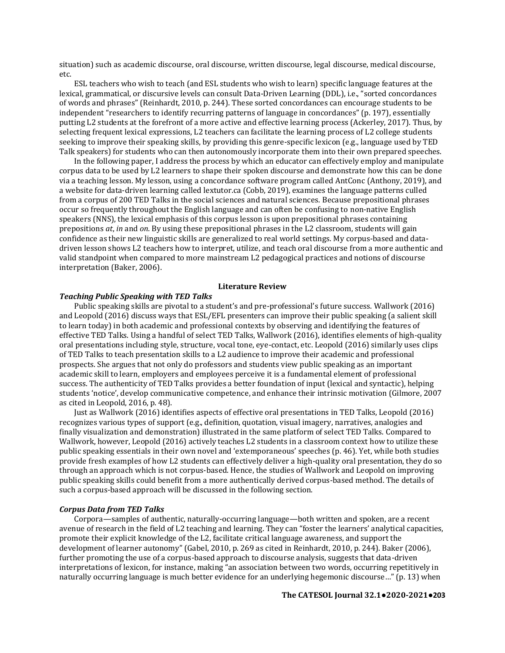situation) such as academic discourse, oral discourse, written discourse, legal discourse, medical discourse, etc.

ESL teachers who wish to teach (and ESL students who wish to learn) specific language features at the lexical, grammatical, or discursive levels can consult Data-Driven Learning (DDL), i.e., "sorted concordances of words and phrases" (Reinhardt, 2010, p. 244). These sorted concordances can encourage students to be independent "researchers to identify recurring patterns of language in concordances" (p. 197), essentially putting L2 students at the forefront of a more active and effective learning process (Ackerley, 2017). Thus, by selecting frequent lexical expressions, L2 teachers can facilitate the learning process of L2 college students seeking to improve their speaking skills, by providing this genre-specific lexicon (e.g., language used by TED Talk speakers) for students who can then autonomously incorporate them into their own prepared speeches.

In the following paper, I address the process by which an educator can effectively employ and manipulate corpus data to be used by L2 learners to shape their spoken discourse and demonstrate how this can be done via a teaching lesson. My lesson, using a concordance software program called AntConc (Anthony, 2019), and a website for data-driven learning called lextutor.ca (Cobb, 2019), examines the language patterns culled from a corpus of 200 TED Talks in the social sciences and natural sciences. Because prepositional phrases occur so frequently throughout the English language and can often be confusing to non-native English speakers (NNS), the lexical emphasis of this corpus lesson is upon prepositional phrases containing prepositions *at*, *in* and *on*. By using these prepositional phrases in the L2 classroom, students will gain confidence as their new linguistic skills are generalized to real world settings. My corpus-based and datadriven lesson shows L2 teachers how to interpret, utilize, and teach oral discourse from a more authentic and valid standpoint when compared to more mainstream L2 pedagogical practices and notions of discourse interpretation (Baker, 2006).

# **Literature Review**

### *Teaching Public Speaking with TED Talks*

Public speaking skills are pivotal to a student's and pre-professional's future success. Wallwork (2016) and Leopold (2016) discuss ways that ESL/EFL presenters can improve their public speaking (a salient skill to learn today) in both academic and professional contexts by observing and identifying the features of effective TED Talks. Using a handful of select TED Talks, Wallwork (2016), identifies elements of high-quality oral presentations including style, structure, vocal tone, eye-contact, etc. Leopold (2016) similarly uses clips of TED Talks to teach presentation skills to a L2 audience to improve their academic and professional prospects. She argues that not only do professors and students view public speaking as an important academic skill to learn, employers and employees perceive it is a fundamental element of professional success. The authenticity of TED Talks provides a better foundation of input (lexical and syntactic), helping students 'notice', develop communicative competence, and enhance their intrinsic motivation (Gilmore, 2007 as cited in Leopold, 2016, p. 48).

Just as Wallwork (2016) identifies aspects of effective oral presentations in TED Talks, Leopold (2016) recognizes various types of support (e.g., definition, quotation, visual imagery, narratives, analogies and finally visualization and demonstration) illustrated in the same platform of select TED Talks. Compared to Wallwork, however, Leopold (2016) actively teaches L2 students in a classroom context how to utilize these public speaking essentials in their own novel and 'extemporaneous' speeches (p. 46). Yet, while both studies provide fresh examples of how L2 students can effectively deliver a high-quality oral presentation, they do so through an approach which is not corpus-based. Hence, the studies of Wallwork and Leopold on improving public speaking skills could benefit from a more authentically derived corpus-based method. The details of such a corpus-based approach will be discussed in the following section.

### *Corpus Data from TED Talks*

Corpora—samples of authentic, naturally-occurring language—both written and spoken, are a recent avenue of research in the field of L2 teaching and learning. They can "foster the learners' analytical capacities, promote their explicit knowledge of the L2, facilitate critical language awareness, and support the development of learner autonomy" (Gabel, 2010, p. 269 as cited in Reinhardt, 2010, p. 244). Baker (2006), further promoting the use of a corpus-based approach to discourse analysis, suggests that data-driven interpretations of lexicon, for instance, making "an association between two words, occurring repetitively in naturally occurring language is much better evidence for an underlying hegemonic discourse…" (p. 13) when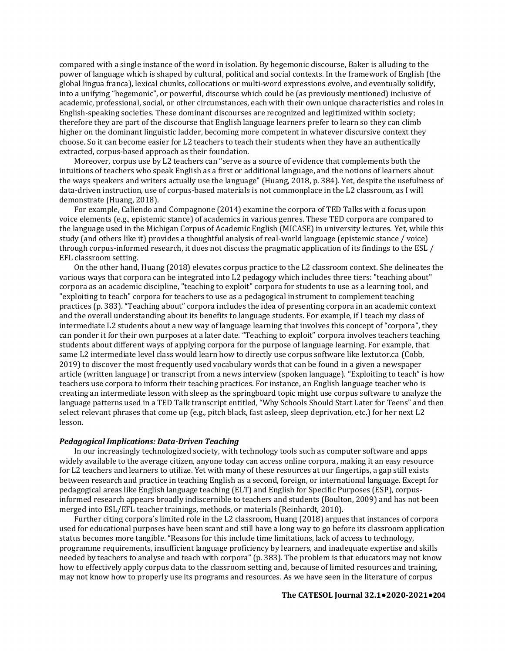compared with a single instance of the word in isolation. By hegemonic discourse, Baker is alluding to the power of language which is shaped by cultural, political and social contexts. In the framework of English (the global lingua franca), lexical chunks, collocations or multi-word expressions evolve, and eventually solidify, into a unifying "hegemonic", or powerful, discourse which could be (as previously mentioned) inclusive of academic, professional, social, or other circumstances, each with their own unique characteristics and roles in English-speaking societies. These dominant discourses are recognized and legitimized within society; therefore they are part of the discourse that English language learners prefer to learn so they can climb higher on the dominant linguistic ladder, becoming more competent in whatever discursive context they choose. So it can become easier for L2 teachers to teach their students when they have an authentically extracted, corpus-based approach as their foundation.

Moreover, corpus use by L2 teachers can "serve as a source of evidence that complements both the intuitions of teachers who speak English as a first or additional language, and the notions of learners about the ways speakers and writers actually use the language" (Huang, 2018, p. 384). Yet, despite the usefulness of data-driven instruction, use of corpus-based materials is not commonplace in the L2 classroom, as I will demonstrate (Huang, 2018).

For example, Caliendo and Compagnone (2014) examine the corpora of TED Talks with a focus upon voice elements (e.g., epistemic stance) of academics in various genres. These TED corpora are compared to the language used in the Michigan Corpus of Academic English (MICASE) in university lectures. Yet, while this study (and others like it) provides a thoughtful analysis of real-world language (epistemic stance / voice) through corpus-informed research, it does not discuss the pragmatic application of its findings to the ESL / EFL classroom setting.

On the other hand, Huang (2018) elevates corpus practice to the L2 classroom context. She delineates the various ways that corpora can be integrated into L2 pedagogy which includes three tiers: "teaching about" corpora as an academic discipline, "teaching to exploit" corpora for students to use as a learning tool, and "exploiting to teach" corpora for teachers to use as a pedagogical instrument to complement teaching practices (p. 383). "Teaching about" corpora includes the idea of presenting corpora in an academic context and the overall understanding about its benefits to language students. For example, if I teach my class of intermediate L2 students about a new way of language learning that involves this concept of "corpora", they can ponder it for their own purposes at a later date. "Teaching to exploit" corpora involves teachers teaching students about different ways of applying corpora for the purpose of language learning. For example, that same L2 intermediate level class would learn how to directly use corpus software like lextutor.ca (Cobb, 2019) to discover the most frequently used vocabulary words that can be found in a given a newspaper article (written language) or transcript from a news interview (spoken language). "Exploiting to teach" is how teachers use corpora to inform their teaching practices. For instance, an English language teacher who is creating an intermediate lesson with sleep as the springboard topic might use corpus software to analyze the language patterns used in a TED Talk transcript entitled, "Why Schools Should Start Later for Teens" and then select relevant phrases that come up (e.g., pitch black, fast asleep, sleep deprivation, etc.) for her next L2 lesson.

### *Pedagogical Implications: Data-Driven Teaching*

In our increasingly technologized society, with technology tools such as computer software and apps widely available to the average citizen, anyone today can access online corpora, making it an easy resource for L2 teachers and learners to utilize. Yet with many of these resources at our fingertips, a gap still exists between research and practice in teaching English as a second, foreign, or international language. Except for pedagogical areas like English language teaching (ELT) and English for Specific Purposes (ESP), corpusinformed research appears broadly indiscernible to teachers and students (Boulton, 2009) and has not been merged into ESL/EFL teacher trainings, methods, or materials (Reinhardt, 2010).

Further citing corpora's limited role in the L2 classroom, Huang (2018) argues that instances of corpora used for educational purposes have been scant and still have a long way to go before its classroom application status becomes more tangible. "Reasons for this include time limitations, lack of access to technology, programme requirements, insufficient language proficiency by learners, and inadequate expertise and skills needed by teachers to analyse and teach with corpora" (p. 383). The problem is that educators may not know how to effectively apply corpus data to the classroom setting and, because of limited resources and training, may not know how to properly use its programs and resources. As we have seen in the literature of corpus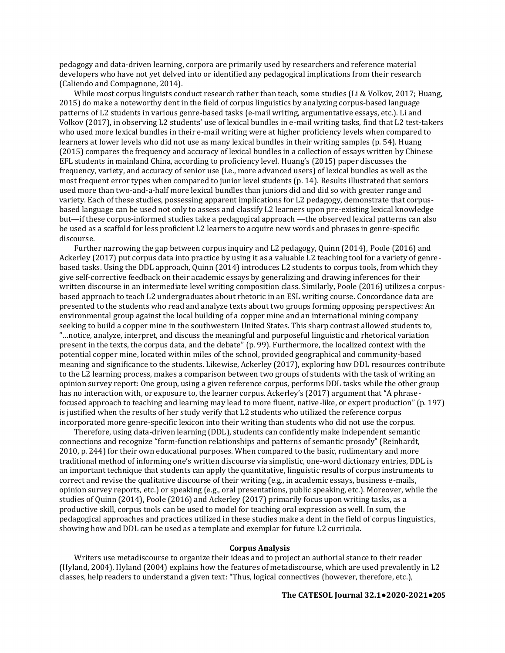pedagogy and data-driven learning, corpora are primarily used by researchers and reference material developers who have not yet delved into or identified any pedagogical implications from their research (Caliendo and Compagnone, 2014).

While most corpus linguists conduct research rather than teach, some studies (Li & Volkov, 2017; Huang, 2015) do make a noteworthy dent in the field of corpus linguistics by analyzing corpus-based language patterns of L2 students in various genre-based tasks (e-mail writing, argumentative essays, etc.). Li and Volkov (2017), in observing L2 students' use of lexical bundles in e-mail writing tasks, find that L2 test-takers who used more lexical bundles in their e-mail writing were at higher proficiency levels when compared to learners at lower levels who did not use as many lexical bundles in their writing samples (p. 54). Huang (2015) compares the frequency and accuracy of lexical bundles in a collection of essays written by Chinese EFL students in mainland China, according to proficiency level. Huang's (2015) paper discusses the frequency, variety, and accuracy of senior use (i.e., more advanced users) of lexical bundles as well as the most frequent error types when compared to junior level students (p. 14). Results illustrated that seniors used more than two-and-a-half more lexical bundles than juniors did and did so with greater range and variety. Each of these studies, possessing apparent implications for L2 pedagogy, demonstrate that corpusbased language can be used not only to assess and classify L2 learners upon pre-existing lexical knowledge but—if these corpus-informed studies take a pedagogical approach —the observed lexical patterns can also be used as a scaffold for less proficient L2 learners to acquire new words and phrases in genre-specific discourse.

Further narrowing the gap between corpus inquiry and L2 pedagogy, Quinn (2014), Poole (2016) and Ackerley (2017) put corpus data into practice by using it as a valuable L2 teaching tool for a variety of genrebased tasks. Using the DDL approach, Quinn (2014) introduces L2 students to corpus tools, from which they give self-corrective feedback on their academic essays by generalizing and drawing inferences for their written discourse in an intermediate level writing composition class. Similarly, Poole (2016) utilizes a corpusbased approach to teach L2 undergraduates about rhetoric in an ESL writing course. Concordance data are presented to the students who read and analyze texts about two groups forming opposing perspectives: An environmental group against the local building of a copper mine and an international mining company seeking to build a copper mine in the southwestern United States. This sharp contrast allowed students to, "…notice, analyze, interpret, and discuss the meaningful and purposeful linguistic and rhetorical variation present in the texts, the corpus data, and the debate" (p. 99). Furthermore, the localized context with the potential copper mine, located within miles of the school, provided geographical and community-based meaning and significance to the students. Likewise, Ackerley (2017), exploring how DDL resources contribute to the L2 learning process, makes a comparison between two groups of students with the task of writing an opinion survey report: One group, using a given reference corpus, performs DDL tasks while the other group has no interaction with, or exposure to, the learner corpus. Ackerley's (2017) argument that "A phrasefocused approach to teaching and learning may lead to more fluent, native-like, or expert production" (p. 197) is justified when the results of her study verify that L2 students who utilized the reference corpus incorporated more genre-specific lexicon into their writing than students who did not use the corpus.

Therefore, using data-driven learning (DDL), students can confidently make independent semantic connections and recognize "form-function relationships and patterns of semantic prosody" (Reinhardt, 2010, p. 244) for their own educational purposes. When compared to the basic, rudimentary and more traditional method of informing one's written discourse via simplistic, one-word dictionary entries, DDL is an important technique that students can apply the quantitative, linguistic results of corpus instruments to correct and revise the qualitative discourse of their writing (e.g., in academic essays, business e-mails, opinion survey reports, etc.) or speaking (e.g., oral presentations, public speaking, etc.). Moreover, while the studies of Quinn (2014), Poole (2016) and Ackerley (2017) primarily focus upon writing tasks, as a productive skill, corpus tools can be used to model for teaching oral expression as well. In sum, the pedagogical approaches and practices utilized in these studies make a dent in the field of corpus linguistics, showing how and DDL can be used as a template and exemplar for future L2 curricula.

### **Corpus Analysis**

Writers use metadiscourse to organize their ideas and to project an authorial stance to their reader (Hyland, 2004). Hyland (2004) explains how the features of metadiscourse, which are used prevalently in L2 classes, help readers to understand a given text: "Thus, logical connectives (however, therefore, etc.),

### **The CATESOL Journal 32.1●2020-2021●205**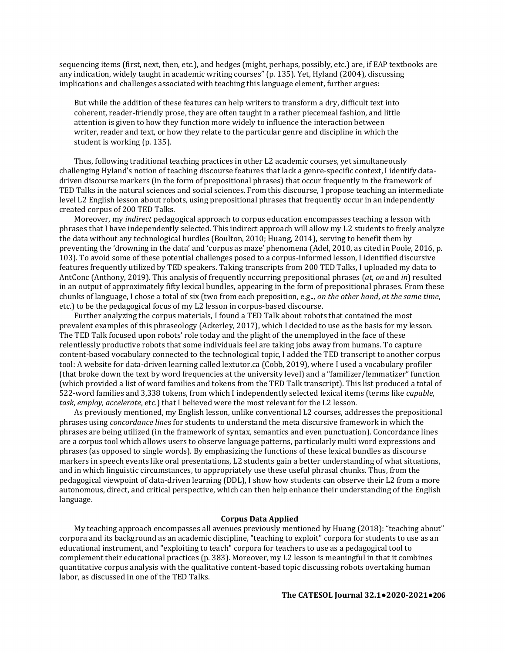sequencing items (first, next, then, etc.), and hedges (might, perhaps, possibly, etc.) are, if EAP textbooks are any indication, widely taught in academic writing courses" (p. 135). Yet, Hyland (2004), discussing implications and challenges associated with teaching this language element, further argues:

But while the addition of these features can help writers to transform a dry, difficult text into coherent, reader-friendly prose, they are often taught in a rather piecemeal fashion, and little attention is given to how they function more widely to influence the interaction between writer, reader and text, or how they relate to the particular genre and discipline in which the student is working (p. 135).

Thus, following traditional teaching practices in other L2 academic courses, yet simultaneously challenging Hyland's notion of teaching discourse features that lack a genre-specific context, I identify datadriven discourse markers (in the form of prepositional phrases) that occur frequently in the framework of TED Talks in the natural sciences and social sciences. From this discourse, I propose teaching an intermediate level L2 English lesson about robots, using prepositional phrases that frequently occur in an independently created corpus of 200 TED Talks.

Moreover, my *indirect* pedagogical approach to corpus education encompasses teaching a lesson with phrases that I have independently selected. This indirect approach will allow my L2 students to freely analyze the data without any technological hurdles (Boulton, 2010; Huang, 2014), serving to benefit them by preventing the 'drowning in the data' and 'corpus as maze' phenomena (Adel, 2010, as cited in Poole, 2016, p. 103). To avoid some of these potential challenges posed to a corpus-informed lesson, I identified discursive features frequently utilized by TED speakers. Taking transcripts from 200 TED Talks, I uploaded my data to AntConc (Anthony, 2019). This analysis of frequently occurring prepositional phrases (*at*, *on* and *in*) resulted in an output of approximately fifty lexical bundles, appearing in the form of prepositional phrases. From these chunks of language, I chose a total of six (two from each preposition, e.g.., *on the other hand*, *at the same time*, etc.) to be the pedagogical focus of my L2 lesson in corpus-based discourse.

Further analyzing the corpus materials, I found a TED Talk about robots that contained the most prevalent examples of this phraseology (Ackerley, 2017), which I decided to use as the basis for my lesson. The TED Talk focused upon robots' role today and the plight of the unemployed in the face of these relentlessly productive robots that some individuals feel are taking jobs away from humans. To capture content-based vocabulary connected to the technological topic, I added the TED transcript to another corpus tool: A website for data-driven learning called lextutor.ca (Cobb, 2019), where I used a vocabulary profiler (that broke down the text by word frequencies at the university level) and a "familizer/lemmatizer" function (which provided a list of word families and tokens from the TED Talk transcript). This list produced a total of 522-word families and 3,338 tokens, from which I independently selected lexical items (terms like *capable*, *task*, *employ*, *accelerate*, etc.) that I believed were the most relevant for the L2 lesson.

As previously mentioned, my English lesson, unlike conventional L2 courses, addresses the prepositional phrases using *concordance line*s for students to understand the meta discursive framework in which the phrases are being utilized (in the framework of syntax, semantics and even punctuation). Concordance lines are a corpus tool which allows users to observe language patterns, particularly multi word expressions and phrases (as opposed to single words). By emphasizing the functions of these lexical bundles as discourse markers in speech events like oral presentations, L2 students gain a better understanding of what situations, and in which linguistic circumstances, to appropriately use these useful phrasal chunks. Thus, from the pedagogical viewpoint of data-driven learning (DDL), I show how students can observe their L2 from a more autonomous, direct, and critical perspective, which can then help enhance their understanding of the English language.

### **Corpus Data Applied**

My teaching approach encompasses all avenues previously mentioned by Huang (2018): "teaching about" corpora and its background as an academic discipline, "teaching to exploit" corpora for students to use as an educational instrument, and "exploiting to teach" corpora for teachers to use as a pedagogical tool to complement their educational practices (p. 383). Moreover, my L2 lesson is meaningful in that it combines quantitative corpus analysis with the qualitative content-based topic discussing robots overtaking human labor, as discussed in one of the TED Talks.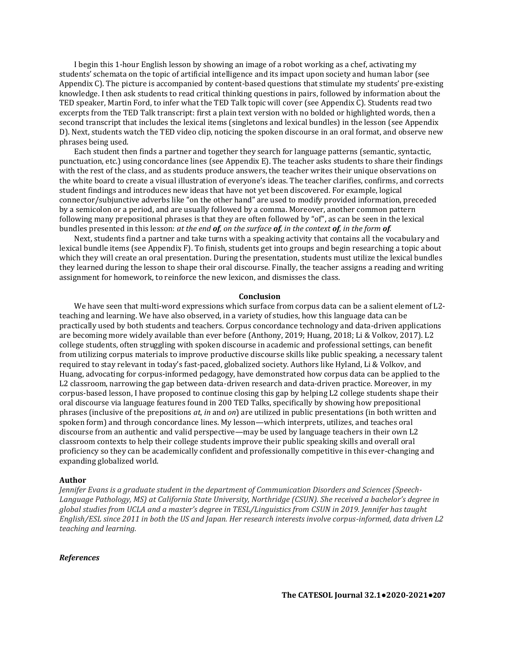I begin this 1-hour English lesson by showing an image of a robot working as a chef, activating my students' schemata on the topic of artificial intelligence and its impact upon society and human labor (see Appendix C). The picture is accompanied by content-based questions that stimulate my students' pre-existing knowledge. I then ask students to read critical thinking questions in pairs, followed by information about the TED speaker, Martin Ford, to infer what the TED Talk topic will cover (see Appendix C). Students read two excerpts from the TED Talk transcript: first a plain text version with no bolded or highlighted words, then a second transcript that includes the lexical items (singletons and lexical bundles) in the lesson (see Appendix D). Next, students watch the TED video clip, noticing the spoken discourse in an oral format, and observe new phrases being used.

Each student then finds a partner and together they search for language patterns (semantic, syntactic, punctuation, etc.) using concordance lines (see Appendix E). The teacher asks students to share their findings with the rest of the class, and as students produce answers, the teacher writes their unique observations on the white board to create a visual illustration of everyone's ideas. The teacher clarifies, confirms, and corrects student findings and introduces new ideas that have not yet been discovered. For example, logical connector/subjunctive adverbs like "on the other hand" are used to modify provided information, preceded by a semicolon or a period, and are usually followed by a comma. Moreover, another common pattern following many prepositional phrases is that they are often followed by "of", as can be seen in the lexical bundles presented in this lesson: *at the end of, on the surface of, in the context of, in the form of.* 

Next, students find a partner and take turns with a speaking activity that contains all the vocabulary and lexical bundle items (see Appendix F). To finish, students get into groups and begin researching a topic about which they will create an oral presentation. During the presentation, students must utilize the lexical bundles they learned during the lesson to shape their oral discourse. Finally, the teacher assigns a reading and writing assignment for homework, to reinforce the new lexicon, and dismisses the class.

### **Conclusion**

We have seen that multi-word expressions which surface from corpus data can be a salient element of L2 teaching and learning. We have also observed, in a variety of studies, how this language data can be practically used by both students and teachers. Corpus concordance technology and data-driven applications are becoming more widely available than ever before (Anthony, 2019; Huang, 2018; Li & Volkov, 2017). L2 college students, often struggling with spoken discourse in academic and professional settings, can benefit from utilizing corpus materials to improve productive discourse skills like public speaking, a necessary talent required to stay relevant in today's fast-paced, globalized society. Authors like Hyland, Li & Volkov, and Huang, advocating for corpus-informed pedagogy, have demonstrated how corpus data can be applied to the L2 classroom, narrowing the gap between data-driven research and data-driven practice. Moreover, in my corpus-based lesson, I have proposed to continue closing this gap by helping L2 college students shape their oral discourse via language features found in 200 TED Talks, specifically by showing how prepositional phrases (inclusive of the prepositions *at*, *in* and *on*) are utilized in public presentations (in both written and spoken form) and through concordance lines. My lesson—which interprets, utilizes, and teaches oral discourse from an authentic and valid perspective—may be used by language teachers in their own L2 classroom contexts to help their college students improve their public speaking skills and overall oral proficiency so they can be academically confident and professionally competitive in this ever-changing and expanding globalized world.

### **Author**

*Jennifer Evans is a graduate student in the department of Communication Disorders and Sciences (Speech-Language Pathology, MS) at California State University, Northridge (CSUN). She received a bachelor's degree in global studies from UCLA and a master's degree in TESL/Linguistics from CSUN in 2019. Jennifer has taught English/ESL since 2011 in both the US and Japan. Her research interests involve corpus-informed, data driven L2 teaching and learning.*

### *References*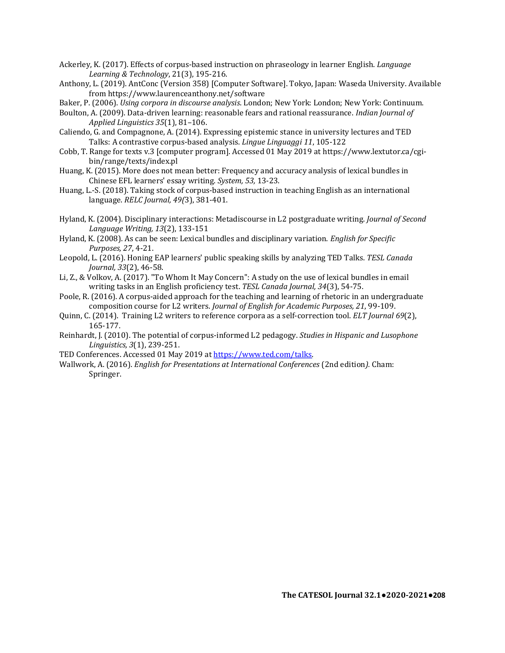- Ackerley, K. (2017). Effects of corpus-based instruction on phraseology in learner English. *Language Learning & Technology*, 21(3), 195-216.
- Anthony, L. (2019). AntConc (Version 358) [Computer Software]. Tokyo, Japan: Waseda University. Available from https://www.laurenceanthony.net/software
- Baker, P. (2006). *Using corpora in discourse analysis*. London; New York: London; New York: Continuum.
- Boulton, A. (2009). Data-driven learning: reasonable fears and rational reassurance. *Indian Journal of Applied Linguistics 35*(1), 81–106.
- Caliendo, G. and Compagnone, A. (2014). Expressing epistemic stance in university lectures and TED Talks: A contrastive corpus-based analysis. *Lingue Linguaggi 11*, 105-122
- Cobb, T. Range for texts v.3 [computer program]. Accessed 01 May 2019 at https://www.lextutor.ca/cgibin/range/texts/index.pl
- Huang, K. (2015). More does not mean better: Frequency and accuracy analysis of lexical bundles in Chinese EFL learners' essay writing. *System, 53,* 13-23.
- Huang, L.-S. (2018). Taking stock of corpus-based instruction in teaching English as an international language. *RELC Journal, 49(*3), 381-401.
- Hyland, K. (2004). Disciplinary interactions: Metadiscourse in L2 postgraduate writing. *Journal of Second Language Writing, 13*(2), 133-151
- Hyland, K. (2008). As can be seen: Lexical bundles and disciplinary variation. *English for Specific Purposes, 27*, 4-21.
- Leopold, L. (2016). Honing EAP learners' public speaking skills by analyzing TED Talks. *TESL Canada Journal, 33*(2), 46-58.
- Li, Z., & Volkov, A. (2017). "To Whom It May Concern": A study on the use of lexical bundles in email writing tasks in an English proficiency test. *TESL Canada Journal, 34*(3), 54-75.
- Poole, R. (2016). A corpus-aided approach for the teaching and learning of rhetoric in an undergraduate composition course for L2 writers. *Journal of English for Academic Purposes, 21*, 99-109.
- Quinn, C. (2014). Training L2 writers to reference corpora as a self-correction tool. *ELT Journal 69*(2), 165-177.
- Reinhardt, J. (2010). The potential of corpus-informed L2 pedagogy. *Studies in Hispanic and Lusophone Linguistics, 3*(1), 239-251.
- TED Conferences. Accessed 01 May 2019 at [https://www.ted.com/talks.](https://www.ted.com/talks)
- Wallwork, A. (2016). *English for Presentations at International Conferences* (2nd edition*).* Cham: Springer.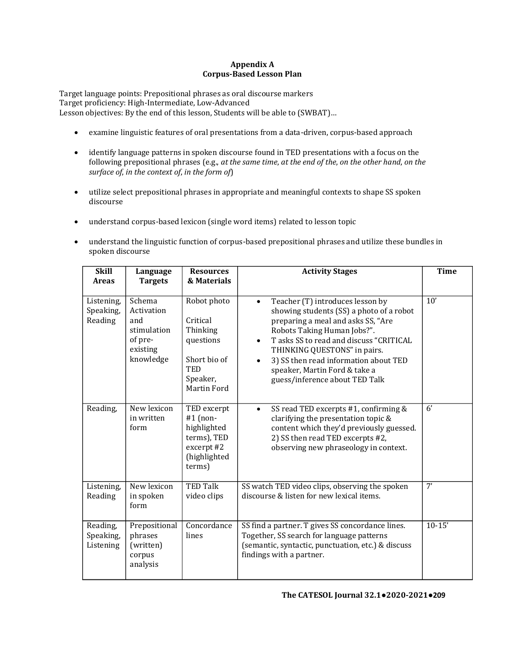# **Appendix A Corpus-Based Lesson Plan**

Target language points: Prepositional phrases as oral discourse markers Target proficiency: High-Intermediate, Low-Advanced Lesson objectives: By the end of this lesson, Students will be able to (SWBAT)…

- examine linguistic features of oral presentations from a data-driven, corpus-based approach
- identify language patterns in spoken discourse found in TED presentations with a focus on the following prepositional phrases (e.g., *at the same time*, *at the end of the*, *on the other hand*, *on the surface of*, *in the context of*, *in the form of*)
- utilize select prepositional phrases in appropriate and meaningful contexts to shape SS spoken discourse
- understand corpus-based lexicon (single word items) related to lesson topic
- understand the linguistic function of corpus-based prepositional phrases and utilize these bundles in spoken discourse

| <b>Skill</b><br><b>Areas</b>       | Language<br><b>Targets</b>                                                     | <b>Resources</b><br>& Materials                                                                           | <b>Activity Stages</b>                                                                                                                                                                                                                                                                                                                                                          | <b>Time</b>     |
|------------------------------------|--------------------------------------------------------------------------------|-----------------------------------------------------------------------------------------------------------|---------------------------------------------------------------------------------------------------------------------------------------------------------------------------------------------------------------------------------------------------------------------------------------------------------------------------------------------------------------------------------|-----------------|
| Listening,<br>Speaking,<br>Reading | Schema<br>Activation<br>and<br>stimulation<br>of pre-<br>existing<br>knowledge | Robot photo<br>Critical<br>Thinking<br>questions<br>Short bio of<br><b>TED</b><br>Speaker,<br>Martin Ford | Teacher (T) introduces lesson by<br>$\bullet$<br>showing students (SS) a photo of a robot<br>preparing a meal and asks SS, "Are<br>Robots Taking Human Jobs?".<br>T asks SS to read and discuss "CRITICAL<br>$\bullet$<br>THINKING QUESTONS" in pairs.<br>3) SS then read information about TED<br>$\bullet$<br>speaker, Martin Ford & take a<br>guess/inference about TED Talk | 10'             |
| Reading,                           | New lexicon<br>in written<br>form                                              | TED excerpt<br>$#1$ (non-<br>highlighted<br>terms), TED<br>excerpt #2<br>(highlighted<br>terms)           | SS read TED excerpts #1, confirming &<br>$\bullet$<br>clarifying the presentation topic &<br>content which they'd previously guessed.<br>2) SS then read TED excerpts #2,<br>observing new phraseology in context.                                                                                                                                                              | $\overline{6'}$ |
| Listening,<br>Reading              | New lexicon<br>in spoken<br>form                                               | <b>TED Talk</b><br>video clips                                                                            | SS watch TED video clips, observing the spoken<br>discourse & listen for new lexical items.                                                                                                                                                                                                                                                                                     | 7'              |
| Reading,<br>Speaking,<br>Listening | Prepositional<br>phrases<br>(written)<br>corpus<br>analysis                    | Concordance<br>lines                                                                                      | SS find a partner. T gives SS concordance lines.<br>Together, SS search for language patterns<br>(semantic, syntactic, punctuation, etc.) & discuss<br>findings with a partner.                                                                                                                                                                                                 | $10-15'$        |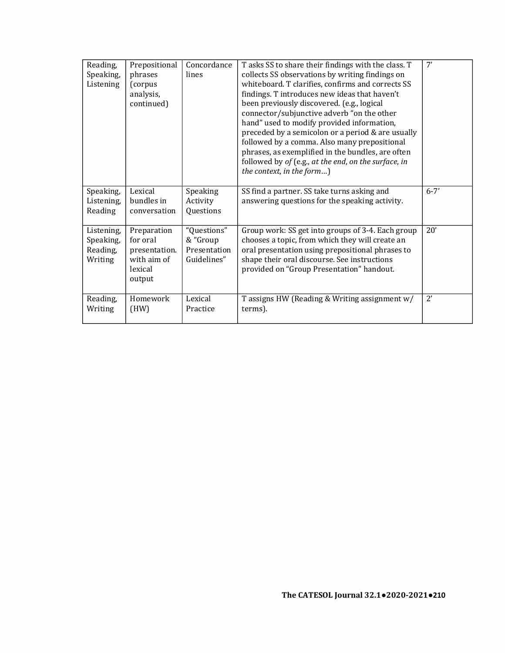| Reading,<br>Speaking,<br>Listening             | Prepositional<br>phrases<br>(corpus<br>analysis,<br>continued)               | Concordance<br>lines                                   | T asks SS to share their findings with the class. T<br>collects SS observations by writing findings on<br>whiteboard. T clarifies, confirms and corrects SS<br>findings. T introduces new ideas that haven't<br>been previously discovered. (e.g., logical<br>connector/subjunctive adverb "on the other<br>hand" used to modify provided information,<br>preceded by a semicolon or a period & are usually<br>followed by a comma. Also many prepositional<br>phrases, as exemplified in the bundles, are often<br>followed by of (e.g., at the end, on the surface, in<br>the context, in the form) | 7'           |
|------------------------------------------------|------------------------------------------------------------------------------|--------------------------------------------------------|-------------------------------------------------------------------------------------------------------------------------------------------------------------------------------------------------------------------------------------------------------------------------------------------------------------------------------------------------------------------------------------------------------------------------------------------------------------------------------------------------------------------------------------------------------------------------------------------------------|--------------|
| Speaking,<br>Listening,<br>Reading             | Lexical<br>bundles in<br>conversation                                        | Speaking<br>Activity<br>Questions                      | SS find a partner. SS take turns asking and<br>answering questions for the speaking activity.                                                                                                                                                                                                                                                                                                                                                                                                                                                                                                         | $6 - 7'$     |
| Listening,<br>Speaking,<br>Reading,<br>Writing | Preparation<br>for oral<br>presentation.<br>with aim of<br>lexical<br>output | "Questions"<br>& "Group<br>Presentation<br>Guidelines" | Group work: SS get into groups of 3-4. Each group<br>chooses a topic, from which they will create an<br>oral presentation using prepositional phrases to<br>shape their oral discourse. See instructions<br>provided on "Group Presentation" handout.                                                                                                                                                                                                                                                                                                                                                 | 20'          |
| Reading,<br>Writing                            | Homework<br>(HW)                                                             | Lexical<br>Practice                                    | T assigns HW (Reading & Writing assignment w/<br>terms).                                                                                                                                                                                                                                                                                                                                                                                                                                                                                                                                              | $2^{\prime}$ |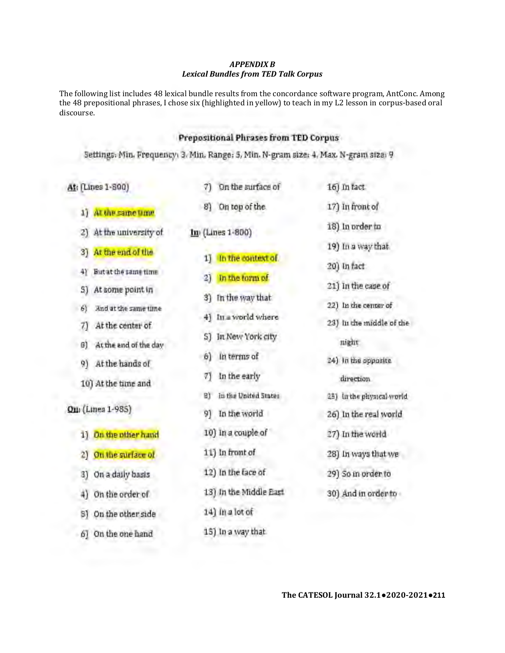# *APPENDIX B Lexical Bundles from TED Talk Corpus*

The following list includes 48 lexical bundle results from the concordance software program, AntConc. Among the 48 prepositional phrases, I chose six (highlighted in yellow) to teach in my L2 lesson in corpus-based oral discourse.

# **Prepositional Phrases from TED Corpus**

**Settings: Min. Frequency: 3, Min. Range: 3, Min. N·gram size: 4, Max. N·gram size: 9** 

At; (Lines 1-800) 7) On the surface of 16) In fact 1) **At the same time** 8) On top of the 17) In front of 2) At the university of **In**, (Lines 1-800) 18) In order to 3) At the end of the 19) In a way that 1) In the context of 4) **But at the same time** 20) In fact In the form of 21) lnthe case of 5) **At some point in**  3) **In the \'t-ay that 22) In the center of** 6) **And at the same time**  4) **In** *a* **-.vorld where 23) Jn the middle of the** 7) At the center of 8) **At the e.nd of the day**  5) In New York city **night**  9) At the hands of **6**) In terms of 24) In the opposite 10) At the time and 7) In the early **direction**  8) **fn the United States 2S) In the physical world**  Qui (Lines 1-985) 9) In the world 26) In the real world 1) On the other hand 10) In a couple of 27) In the world 2) **On the surface of 21** in front of 28) In ways that we 3) On a daily basis 12) In the face of 29) So in order to 4) On the order of 13) In the Middle East 30) And in order to SJ **On the other side** 14) lna lotof 6) **On the one hand** 15) In a way that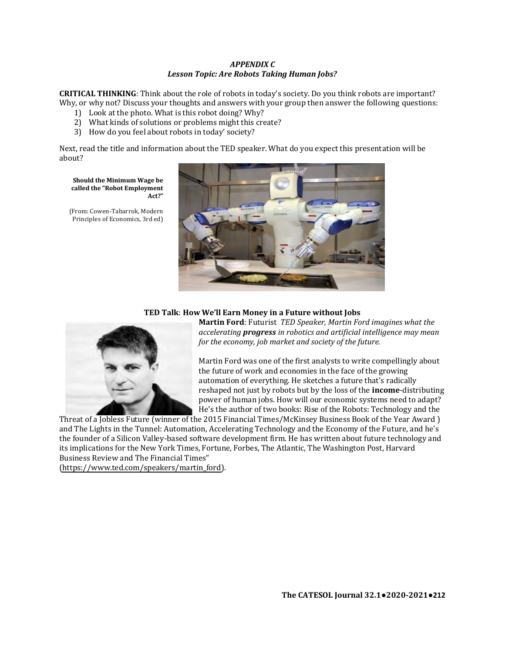### *APPENDIX C Lesson Topic: Are Robots Taking Human Jobs?*

**CRITICAL THINKING**: Think about the role of robots in today's society. Do you think robots are important? Why, or why not? Discuss your thoughts and answers with your group then answer the following questions:

- 1) Look at the photo. What is this robot doing? Why?
- 2) What kinds of solutions or problems might this create?
- 3) How do you feel about robots in today' society?

Next, read the title and information about the TED speaker. What do you expect this presentation will be about?

#### **Should the Minimum Wage be called the "Robot Employment Act?"**

(From: Cowen-Tabarrok, Modern Principles of Economics, 3rd ed)



# **TED Talk**: **How We'll Earn Money in a Future without Jobs**



**Martin Ford**: Futurist *TED Speaker, Martin Ford imagines what the accelerating progress in robotics and artificial intelligence may mean for the economy, job market and society of the future.*

Martin Ford was one of the first analysts to write compellingly about the future of work and economies in the face of the growing automation of everything. He sketches a future that's radically reshaped not just by robots but by the loss of the **income**-distributing power of human jobs. How will our economic systems need to adapt? He's the author of two books: Rise of the Robots: Technology and the

Threat of a Jobless Future (winner of the 2015 Financial Times/McKinsey Business Book of the Year Award ) and The Lights in the Tunnel: Automation, Accelerating Technology and the Economy of the Future, and he's the founder of a Silicon Valley-based software development firm. He has written about future technology and its implications for the New York Times, Fortune, Forbes, The Atlantic, The Washington Post, Harvard Business Review and The Financial Times"

[\(https://www.ted.com/speakers/martin\\_ford\)](https://www.ted.com/speakers/martin_ford).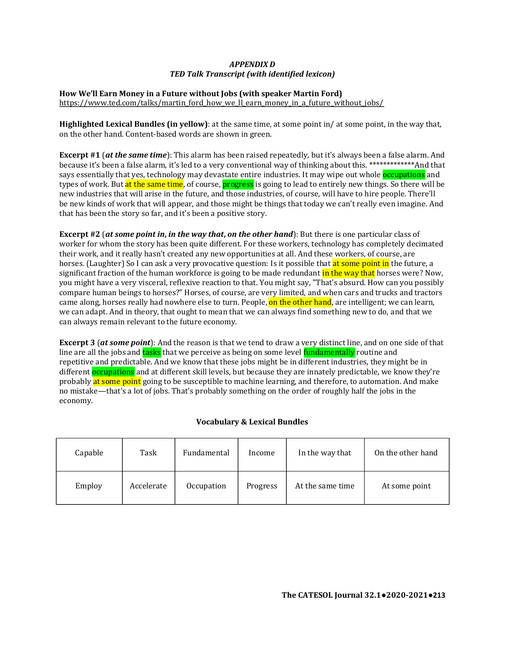# *APPENDIX D TED Talk Transcript (with identified lexicon)*

# **How We'll Earn Money in a Future without Jobs (with speaker Martin Ford)**

[https://www.ted.com/talks/martin\\_ford\\_how\\_we\\_ll\\_earn\\_money\\_in\\_a\\_future\\_without\\_jobs/](https://www.ted.com/talks/martin_ford_how_we_ll_earn_money_in_a_future_without_jobs/)

**Highlighted Lexical Bundles (in yellow)**: at the same time, at some point in/ at some point, in the way that, on the other hand. Content-based words are shown in green.

**Excerpt #1** (*at the same time*): This alarm has been raised repeatedly, but it's always been a false alarm. And because it's been a false alarm, it's led to a very conventional way of thinking about this. \*\*\*\*\*\*\*\*\*\*\*\*\*And that says essentially that yes, technology may devastate entire industries. It may wipe out whole **occupations** and types of work. But at the same time, of course, **progress** is going to lead to entirely new things. So there will be new industries that will arise in the future, and those industries, of course, will have to hire people. There'll be new kinds of work that will appear, and those might be things that today we can't really even imagine. And that has been the story so far, and it's been a positive story. s beer<br>*y* conv<br>state d<br>progr<br>d thos<br>se mig a fals<br>\*\*\*\*\*\*<br>gs. So<br>people

**Excerpt #2** (*at some point in***,** *in the way that***,** *on the other hand*): But there is one particular class of worker for whom the story has been quite different. For these workers, technology has completely decimated their work, and it really hasn't created any new opportunities at all. And these workers, of course, are horses. (Laughter) So I can ask a very provocative question: Is it possible that at some point in the future, a significant fraction of the human workforce is going to be made redundant in the way that horses were? Now, you might have a very visceral, reflexive reaction to that. You might say, "That's absurd. How can you possibly compare human beings to horses?" Horses, of course, are very limited, and when cars and trucks and tractors came along, horses really had nowhere else to turn. People, on the other hand, are intelligent; we can learn, we can adapt. And in theory, that ought to mean that we can always find something new to do, and that we can always remain relevant to the future economy.

**Excerpt 3** (*at some point*): And the reason is that we tend to draw a very distinct line, and on one side of that line are all the jobs and tasks that we perceive as being on some level fundamentally routine and repetitive and predictable. And we know that these jobs might be in different industries, they might be in Excerpt 3 (at some point): And the reason is that we tend to draw a very distinct line, and on one side of that<br>line are all the jobs and tasks that we perceive as being on some level fundamentally routine and<br>repetitive a probably at some point going to be susceptible to machine learning, and therefore, to automation. And make no mistake—that's a lot of jobs. That's probably something on the order of roughly half the jobs in the economy.

# **Vocabulary & Lexical Bundles**

| Capable | Task       | Fundamental | Income   | In the way that  | On the other hand |
|---------|------------|-------------|----------|------------------|-------------------|
| Employ  | Accelerate | Occupation  | Progress | At the same time | At some point     |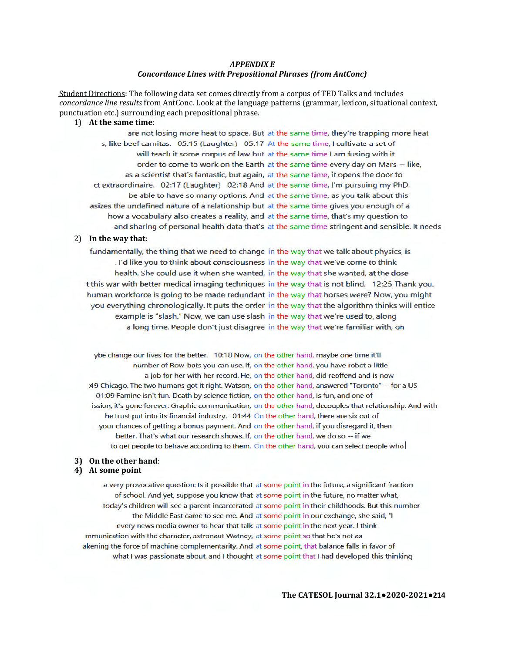### *APPENDIX E Concordance Lines with Prepositional Phrases (from AntConc)*

Student Directions: The following data set comes directly from a corpus of TED Talks and includes *concordance line results* from AntConc. Look at the language patterns (grammar, lexicon, situational context, punctuation etc.) surrounding each prepositional phrase.

# 1) **At the same time**:

are not losing more heat to space. But at the same time, they're trapping more heat s, like beef carnitas. 05:15 (Laughter) 05:17 At the same time, I cultivate a set of will teach it some corpus of law but at the same time I am fusing with it order to come to work on the Earth at the same time every day on Mars -- like, as a scientist that's fantastic, but again, at the same time, it opens the door to ct extraordinaire. 02:17 (Laughter) 02:18 And at the same time, I'm pursuing my PhD. be able to have so many options. And at the same time, as you talk about this asizes the undefined nature of a relationship but at the same time gives you enough of a how a vocabulary also creates a reality, and at the same time, that's my question to and sharing of personal health data that's at the same time stringent and sensible. It needs

### 2) **In the way that**:

fundamentally, the thing that we need to change in the way that we talk about physics, is . I'd like you to think about consciousness in the way that we've come to think health. She could use it when she wanted, in the way that she wanted, at the dose t this war with better medical imaging techniques in the way that is not blind. 12:25 Thank you. human workforce is going to be made redundant in the way that horses were? Now, you might you everything chronologically. It puts the order in the way that the algorithm thinks will entice example is "slash." Now, we can use slash in the way that we're used to, along a long time. People don't just disagree in the way that we're familiar with, on

ybe change our lives for the better. 10:18 Now, on the other hand, maybe one time it'll number of Row-bots you can use. If, on the othe r hand, you have robot a little a job for her with her record. He, on the other hand, did reoffend and is now :49 Chicago. The two humans got it right. Watson, on the othe r hand, answered "Toronto" -- for a US 01:09 Famine isn't fun. Death by science fiction, on the other hand, is fun, and one of ission, it's gone forever. Graphic communication, on the other hand, decouples that relationship. And with he trust put into its financial industry. 01:44 On the other hand, there are six out of your chances of getting a bonus payment. And on the other hand, if you disregard it, then better. That's what our research shows. If, on the other hand, we do so -- if we to get people to behave according to them. On the other hand, you can select people who

# **3) On the other hand**:

# **4) At some point**

a very provocative question: Is it possible that at some point in the future, a significant fraction of school. And yet, suppose you know that at some point in the future, no matter what, today's children will see a parent incarcerated at some point in their childhoods. But this number the Middle East came to see me. And at some point in our exchange, she said, "I every news media owner to hear that talk at some point in the next year. I think mmunication with the character, astronaut Watney. at some point so that he's not as akening the force of machine complementarity. And at some point, that balance falls in favor of what I was passionate about, and I thought at some point that I had developed this thinking

**The CATESOL Journal 32.1●2020-2021●214**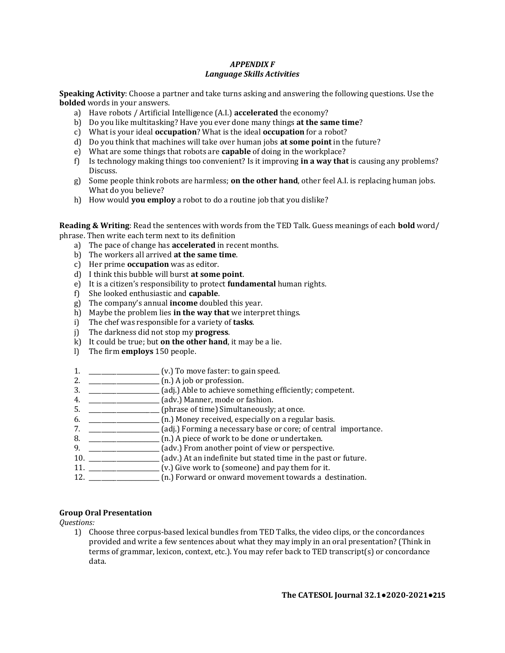# *APPENDIX F Language Skills Activities*

**Speaking Activity**: Choose a partner and take turns asking and answering the following questions. Use the **bolded** words in your answers.

- a) Have robots / Artificial Intelligence (A.I.) **accelerated** the economy?
- b) Do you like multitasking? Have you ever done many things **at the same time**?
- c) What is your ideal **occupation**? What is the ideal **occupation** for a robot?
- d) Do you think that machines will take over human jobs **at some point** in the future?
- e) What are some things that robots are **capable** of doing in the workplace?
- f) Is technology making things too convenient? Is it improving **in a way that** is causing any problems? Discuss.
- g) Some people think robots are harmless; **on the other hand**, other feel A.I. is replacing human jobs. What do you believe?
- h) How would **you employ** a robot to do a routine job that you dislike?

**Reading & Writing**: Read the sentences with words from the TED Talk. Guess meanings of each **bold** word/ phrase. Then write each term next to its definition

- a) The pace of change has **accelerated** in recent months.
- b) The workers all arrived **at the same time**.
- c) Her prime **occupation** was as editor.
- d) I think this bubble will burst **at some point**.
- e) It is a citizen's responsibility to protect **fundamental** human rights.
- f) She looked enthusiastic and **capable**.
- g) The company's annual **income** doubled this year.
- h) Maybe the problem lies **in the way that** we interpret things.
- i) The chef was responsible for a variety of **tasks**.
- j) The darkness did not stop my **progress**.
- k) It could be true; but **on the other hand**, it may be a lie.
- l) The firm **employs** 150 people.
- 1. \_\_\_\_\_\_\_\_\_\_\_\_\_\_\_\_\_\_\_\_\_\_\_ (v.) To move faster: to gain speed.
- 2. \_\_\_\_\_\_\_\_\_\_\_\_\_\_\_\_\_\_\_\_\_\_\_ (n.) A job or profession.
- 3. \_\_\_\_\_\_\_\_\_\_\_\_\_\_\_\_\_\_\_\_\_\_\_ (adj.) Able to achieve something efficiently; competent.
- 4. \_\_\_\_\_\_\_\_\_\_\_\_\_\_\_\_\_\_\_\_\_\_\_ (adv.) Manner, mode or fashion.
- 5. \_\_\_\_\_\_\_\_\_\_\_\_\_\_\_\_\_\_\_\_\_\_\_\_\_ (phrase of time) Simultaneously; at once.
- 6. \_\_\_\_\_\_\_\_\_\_\_\_\_\_\_\_\_\_\_\_\_\_\_ (n.) Money received, especially on a regular basis.
- 7. \_\_\_\_\_\_\_\_\_\_\_\_\_\_\_\_\_\_\_\_\_\_\_ (adj.) Forming a necessary base or core; of central importance.
- 8. \_\_\_\_\_\_\_\_\_\_\_\_\_\_\_\_\_\_\_\_\_\_\_ (n.) A piece of work to be done or undertaken.
- 9. \_\_\_\_\_\_\_\_\_\_\_\_\_\_\_\_\_\_\_\_\_\_\_ (adv.) From another point of view or perspective.
- 10. \_\_\_\_\_\_\_\_\_\_\_\_\_\_\_\_\_\_\_\_\_\_\_ (adv.) At an indefinite but stated time in the past or future.
- 11. \_\_\_\_\_\_\_\_\_\_\_\_\_\_\_\_\_\_\_\_\_\_\_ (v.) Give work to (someone) and pay them for it.
- 12. \_\_\_\_\_\_\_\_\_\_\_\_\_\_\_\_\_\_\_\_\_\_\_ (n.) Forward or onward movement towards a destination.

# **Group Oral Presentation**

*Questions:*

1) Choose three corpus-based lexical bundles from TED Talks, the video clips, or the concordances provided and write a few sentences about what they may imply in an oral presentation? (Think in terms of grammar, lexicon, context, etc.). You may refer back to TED transcript(s) or concordance data.